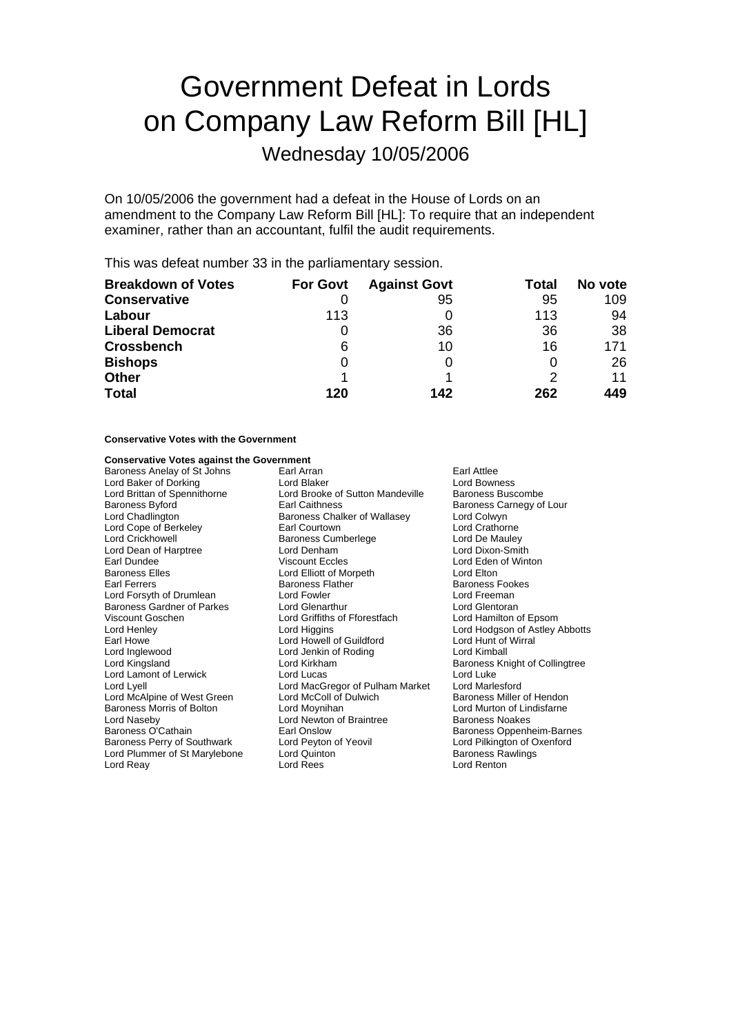# Government Defeat in Lords on Company Law Reform Bill [HL]

Wednesday 10/05/2006

On 10/05/2006 the government had a defeat in the House of Lords on an amendment to the Company Law Reform Bill [HL]: To require that an independent examiner, rather than an accountant, fulfil the audit requirements.

This was defeat number 33 in the parliamentary session.

| <b>Breakdown of Votes</b> | <b>For Govt</b> | <b>Against Govt</b> | Total | No vote |
|---------------------------|-----------------|---------------------|-------|---------|
| <b>Conservative</b>       |                 | 95                  | 95    | 109     |
| Labour                    | 113             |                     | 113   | 94      |
| <b>Liberal Democrat</b>   | O               | 36                  | 36    | 38      |
| <b>Crossbench</b>         | 6               | 10                  | 16    | 171     |
| <b>Bishops</b>            | 0               |                     |       | 26      |
| <b>Other</b>              |                 |                     | 2     | 11      |
| <b>Total</b>              | 120             | 142                 | 262   | 449     |

### **Conservative Votes with the Government**

#### **Conservative Votes against the Government**

Baroness Anelay of St Johns Earl Arran Farl Arran Earl Attlee<br>
Earl Attlee<br>
Lord Baker of Dorking Farl Arran Earl Arran Earl Arran Earl Attlee Lord Baker of Dorking **Lord Blaker Corporation** Lord Bowness<br>
Lord Brittan of Spennithorne Lord Brooke of Sutton Mandeville Baroness Buscombe Lord Brittan of Spennithorne Lord Brooke of Sutton Mandeville<br>Baroness Bvford Baroness Buscomber Earl Caithness Baroness Byford **Earl Caithness** Earl Caithness **Baroness Carnegy of Lour**<br>
Lord Chadlington **Baroness Chalker of Wallasey** Lord Colwyn Baroness Chalker of Wallasey Lord Cope of Berkeley **Earl Courtown** Earl Courtown Lord Crathorne Lord Crickhowell **Crick Communist Constructs Communist Constructs** Lord De Mauley<br>
Lord Dean of Harptree **Lord Dental Lord Dental Communist Constructs** Lord Dixon-Smith Lord Dean of Harptree Lord Denham Earl Dundee **Viscount Eccles** Lord Eden of Winton<br>
Baroness Elles **Lord Elliott** of Morpeth **Cord Elliott** Lord Elton Lord Elliott of Morpeth Earl Ferrers **Exercise Exercise Servers Flather Footes Footes** Baroness Fookes<br>
Baroness Footes<br>
Lord Freeman<br>
Lord Freeman Lord Forsyth of Drumlean Baroness Gardner of Parkes Lord Glenarthur Lord Griffiths of Forestfach Lord Glentoran<br>
Lord Goschen Lord Griffiths of Fforestfach Lord Hamilton of Epsom Lord Griffiths of Fforestfach Lord Henley **Lord Higgins** Lord Higgins **Lord Howell Cord Howell Cord Howell** Cord Howell Cord Howell Cord Hunt of Wirral Cord Hunt of Wirral Cord Hunt of Wirral Cord Hunt of Wirral Cord Hunt of Wirral Cord Hunt of Wirral Earl Howe 10 March 2011 Lord Howell of Guildford 10 March 2011 Lord Hunt of Lord Hunt of Lord Kimball Lord Jenkin of Roding Lord Kingsland **Lord Kirkham** Baroness Knight of Collingtree Lord Lamont of Lerwick Lord Lucas Lord Luke Lord Lyell Lord MacGregor of Pulham Market Lord Marlesford Lord McAlpine of West Green Baroness Morris of Bolton **Lord Moynihan** Lord Murton of Lindisfarne<br>
Lord Naseby **Lord Nurton of Lindisfarne**<br>
Lord Newton of Braintree **Baroness Noakes** Lord Naseby Lord Newton of Braintree<br>
Baroness O'Cathain 
Baroness Cottain

Carl Onslow Baroness Perry of Southwark Lord Peyton of Yeovil Lord Pilkington of Oxenford<br>
Lord Plummer of St Marylebone Lord Quinton Cord Baroness Rawlings Lord Plummer of St Marylebone Lord Quinton Corress Rawlings<br>
Lord Reav Corress Rawlings<br>
Lord Reav Corress Rames Lord Rees Lord Reay **Lord Rees Lord Rees Lord Renton** 

Earl Onslow **Baroness Oppenheim-Barnes**<br> **Earl Onslow Baroness Oppenheim-Barnes**<br>
Lord Pilkington of Oxenford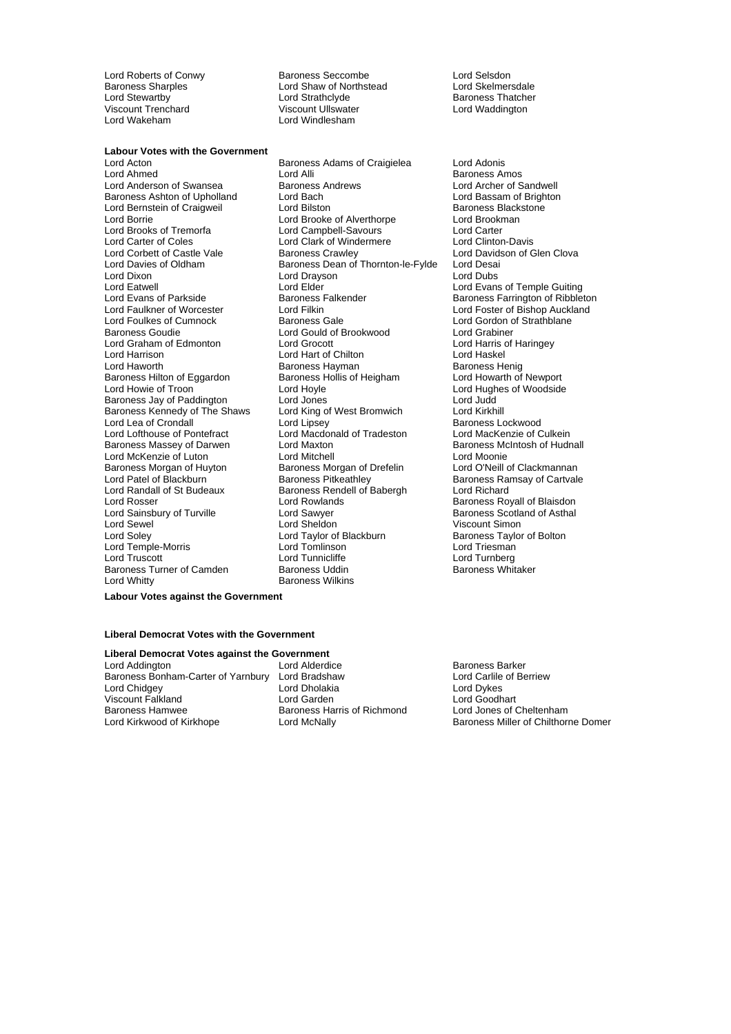### **Labour Votes with the Government**<br>**Lord Acton**

Lord Bernstein of Craigweil Lord Carter of Coles Lord Clark of Windermere<br>
Lord Corbett of Castle Vale Baroness Crawley Lord Dixon **Lord Drayson Lord Drayson**<br>
Lord Eatwell **Lord Elder** Baroness Hilton of Eggardon Baroness Kennedy of The Shaws<br>Lord Lea of Crondall Baroness Morgan of Huyton Baroness Morgan of Drefelin<br>
Lord Patel of Blackburn Baroness Pitkeathley Lord Randall of St Budeaux Baroness Rendell of Babergh<br>
Lord Rosser Lord Rowlands Baroness Turner of Camden Lord Whitty **Baroness Wilkins** 

Lord Roberts of Conwy<br>
Baroness Sharples<br>
Lord Shaw of Northstead
Lord Skelmersdale
Lord Skelmersdale Baroness Sharples<br>
Lord Stewartby<br>
Lord Strathclyde<br>
Lord Strathclyde Lord Stewartby Lord Strathclyde Baroness Thatcher Viscount Trenchard Viscount Ullswater Lord Waddington Lord Windlesham

Baroness Adams of Craigielea Lord Adonis Lord Ahmed Lord Alli Lord Alli Communication Corress Amos<br>
Lord Anderson of Swansea Baroness Andrews Lord Archer of Sandwell Lord Anderson of Swansea **Baroness Andrews** Lord Archer of Sandwell<br>Baroness Ashton of Upholland Lord Bach **Lord Archer Cord Bassam of Brighton** Baroness Ashton of Upholland Lord Bach Lord Bach Lord Bassam of Brighton Lord Bassam of Brighton Lord Bilston Lord Bilston Lord Baroness Blackstone Lord Borrie Lord Brooke of Alverthorpe Lord Brookman Lord Brooks of Tremorfa Lord Campbell-Savours Lord Carter<br>Lord Carter of Coles Lord Clark of Windermere Lord Clinton-Davis Lord Corbett of Castle Vale Baroness Crawley Lord Davidson of Glen Clova<br>
Lord Davies of Oldham Baroness Dean of Thornton-le-Fylde Lord Desai Lord Davies of Oldham Baroness Dean of Thornton-le-Fylde Lord Desai Lord Eatwell Lord Elder Lord Elder Lord Evans of Temple Guiting<br>
Lord Evans of Parkside Baroness Falkender Baroness Farrington of Ribblet Lord Faulkner of Worcester Lord Filkin Lord Foster of Bishop Auckland<br>
Lord Foulkes of Cumnock Baroness Gale Cord Lord Gordon of Strathblane Lord Foulkes of Cumnock **Baroness Gale** Baroness Gale Lord Gordon of Strathblane<br>Baroness Goudie **Lord Gord Gord Gordon Condom** Lord Grabiner Lord Gould of Brookwood Lord Grabiner<br>
Lord Grocott Lord Harris of Haringey Lord Graham of Edmonton Lord Grocott Lord Grocott Lord Harris of Chilton Cord Harris of Lord Haskel Lord Harrison Lord Hart of Chilton Lord Haskel Baroness Hayman<br>
Baroness Hollis of Heigham<br>
Lord Howarth of Newport Lord Howie of Troon **Lord Hoyle** Lord Hoyle **Lord Hughes of Woodside**<br>
Baroness Jav of Paddington Lord Jones Lord Lord Judd Baroness Jay of Paddington Lord Jones Lord Judd Lord Lipsey **Cronocle Crondall Lord Lipsey** Baroness Lockwood Lord Lofthouse of Pontefract Lord Macdonald of Tradeston Lord MacKenzie of Culkein<br>Baroness Massey of Darwen Lord Maxton Cord Maxton Baroness McIntosh of Hudr Lord Maxton **Baroness McIntosh of Hudnall**<br>
Lord Mitchell<br>
Lord Moonie Lord McKenzie of Luton **Lord Mitchell** Lord Moonie<br>
Baroness Morgan of Huyton Baroness Morgan of Drefelin Lord O'Neill of Clackmannan Lord Patel of Blackburn **Baroness Pitkeathley** Baroness Ramsay of Cartvale Baroness Ramsay of Cartvale<br> **Baroness Rendell of Startware Baroness Rendell of Babergh Baroness Rendell of Richard** Lord Sainsbury of Turville **Lord Sawyer** Cord Sawyer Baroness Scotland of Asthal<br>
Lord Sevel Baroness Scotland of Asthal<br>
Lord Sevel Baroness Scotland of Asthal Lord Sewel **Lord Sheldon** Cord Sheldon **Cord Sheldon** Viscount Simon Viscount Simon<br>
Lord Solev **Cord Taylor of Blackburn** Baroness Taylor of Bolton Lord Taylor of Blackburn Lord Temple-Morris Lord Tomlinson Lord Triesman Lord Tunnicliffe **Lord Turnberg**<br>
Baroness Uddin **Communication**<br>
Baroness Whitaker

Baroness Farrington of Ribbleton Baroness Royall of Blaisdon

**Labour Votes against the Government**

#### **Liberal Democrat Votes with the Government**

## **Liberal Democrat Votes against the Government**<br>
Lord Addington **Lord Adderdice**

Baroness Bonham-Carter of Yarnbury Lord Bradshaw **Lord Carlile Lord Carlile Carlile Carlile Carlile Carlile Carli**<br>Lord Cholakia **Lord Dykes** Lord Dykes Lord Chidgey **Lord Dholakia** Viscount Falkland **Viscount Falkland** Lord Garden Lord Garden Lord Goodhart<br>
Baroness Hamwee **Baroness Harris of Richmond** Lord Jones of Cheltenham Baroness Hamwee<br>
Lord Kirkwood of Kirkhope<br>
Lord McNally

Lord Alderdice **Communist Constructs**<br>
Lord Bradshaw **Lord Carlile of Berriew** 

**Baroness Miller of Chilthorne Domer**